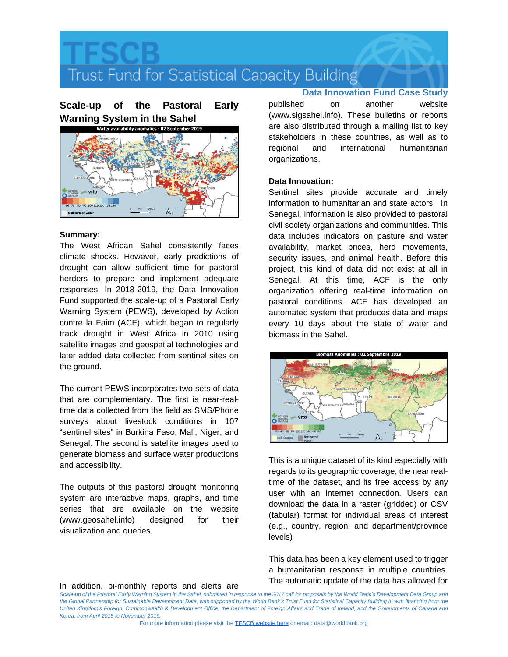Trust Fund for Statistical Capacity Building

**Scale-up of the Pastoral Early Warning System in the Sahel**



## **Summary:**

The West African Sahel consistently faces climate shocks. However, early predictions of drought can allow sufficient time for pastoral herders to prepare and implement adequate responses. In 2018-2019, the Data Innovation Fund supported the scale-up of a Pastoral Early Warning System (PEWS), developed by Action contre la Faim (ACF), which began to regularly track drought in West Africa in 2010 using satellite images and geospatial technologies and later added data collected from sentinel sites on the ground.

The current PEWS incorporates two sets of data that are complementary. The first is near-realtime data collected from the field as SMS/Phone surveys about livestock conditions in 107 "sentinel sites" in Burkina Faso, Mali, Niger, and Senegal. The second is satellite images used to generate biomass and surface water productions and accessibility.

The outputs of this pastoral drought monitoring system are interactive maps, graphs, and time series that are available on the website (www.geosahel.info) designed for their visualization and queries.

In addition, bi-monthly reports and alerts are

**Data Innovation Fund Case Study** published on another website (www.sigsahel.info). These bulletins or reports are also distributed through a mailing list to key stakeholders in these countries, as well as to regional and international humanitarian organizations.

### **Data Innovation:**

Sentinel sites provide accurate and timely information to humanitarian and state actors. In Senegal, information is also provided to pastoral civil society organizations and communities. This data includes indicators on pasture and water availability, market prices, herd movements, security issues, and animal health. Before this project, this kind of data did not exist at all in Senegal. At this time, ACF is the only organization offering real-time information on pastoral conditions. ACF has developed an automated system that produces data and maps every 10 days about the state of water and biomass in the Sahel.



This is a unique dataset of its kind especially with regards to its geographic coverage, the near realtime of the dataset, and its free access by any user with an internet connection. Users can download the data in a raster (gridded) or CSV (tabular) format for individual areas of interest (e.g., country, region, and department/province levels)

This data has been a key element used to trigger a humanitarian response in multiple countries. The automatic update of the data has allowed for

Scale-up of the Pastoral Early Warning System in the Sahel, submitted in response to the 2017 call for proposals by the World Bank's Development Data Group and the Global Partnership for Sustainable Development Data, was supported by the World Bank's Trust Fund for Statistical Capacity Building III with financing from the *United Kingdom's Foreign, Commonwealth & Development Office, the Department of Foreign Affairs and Trade of Ireland, and the Governments of Canada and Korea, from April 2018 to November 2019.*